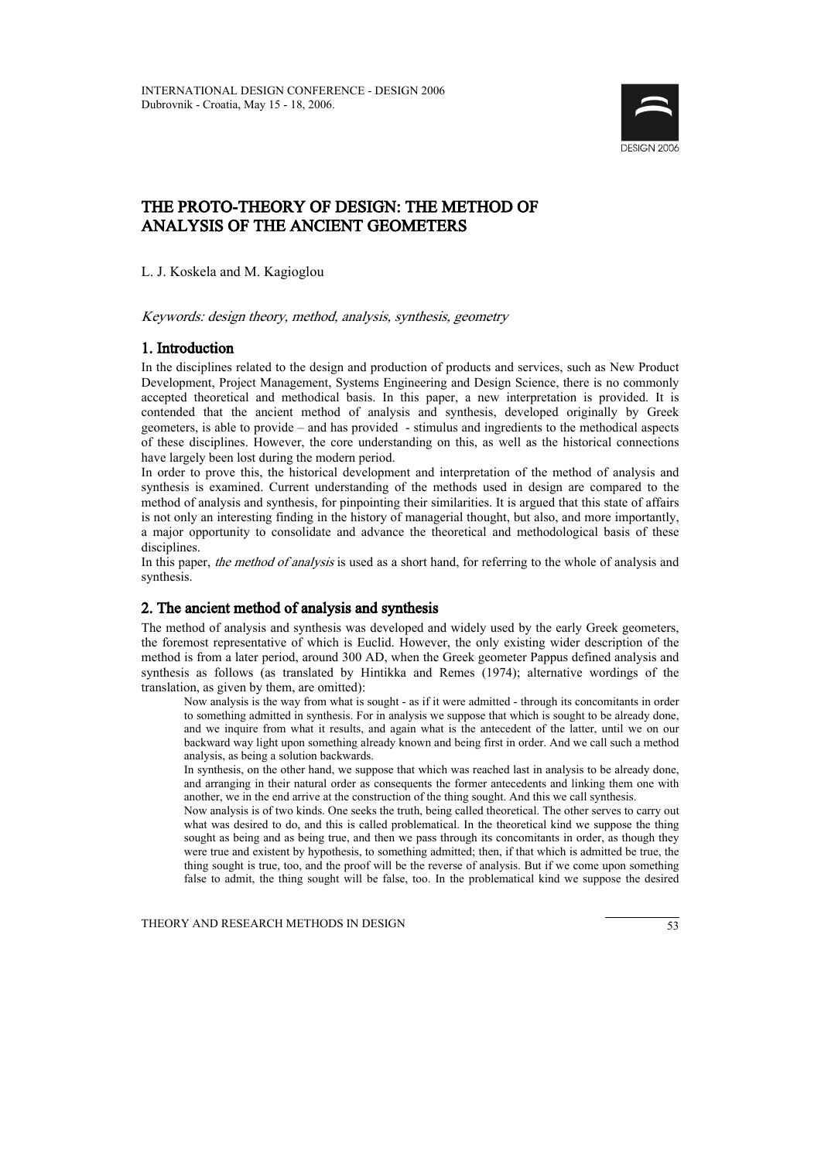

# THE PROTO-THEORY OF DESIGN: THE METHOD OF ANALYSIS OF THE ANCIENT GEOMETERS

L. J. Koskela and M. Kagioglou

Keywords: design theory, method, analysis, synthesis, geometry

# 1. Introduction

In the disciplines related to the design and production of products and services, such as New Product Development, Project Management, Systems Engineering and Design Science, there is no commonly accepted theoretical and methodical basis. In this paper, a new interpretation is provided. It is contended that the ancient method of analysis and synthesis, developed originally by Greek geometers, is able to provide – and has provided - stimulus and ingredients to the methodical aspects of these disciplines. However, the core understanding on this, as well as the historical connections have largely been lost during the modern period.

In order to prove this, the historical development and interpretation of the method of analysis and synthesis is examined. Current understanding of the methods used in design are compared to the method of analysis and synthesis, for pinpointing their similarities. It is argued that this state of affairs is not only an interesting finding in the history of managerial thought, but also, and more importantly, a major opportunity to consolidate and advance the theoretical and methodological basis of these disciplines.

In this paper, *the method of analysis* is used as a short hand, for referring to the whole of analysis and synthesis.

# 2. The ancient method of analysis and synthesis

The method of analysis and synthesis was developed and widely used by the early Greek geometers, the foremost representative of which is Euclid. However, the only existing wider description of the method is from a later period, around 300 AD, when the Greek geometer Pappus defined analysis and synthesis as follows (as translated by Hintikka and Remes (1974); alternative wordings of the translation, as given by them, are omitted):

Now analysis is the way from what is sought - as if it were admitted - through its concomitants in order to something admitted in synthesis. For in analysis we suppose that which is sought to be already done, and we inquire from what it results, and again what is the antecedent of the latter, until we on our backward way light upon something already known and being first in order. And we call such a method analysis, as being a solution backwards.

In synthesis, on the other hand, we suppose that which was reached last in analysis to be already done, and arranging in their natural order as consequents the former antecedents and linking them one with another, we in the end arrive at the construction of the thing sought. And this we call synthesis.

Now analysis is of two kinds. One seeks the truth, being called theoretical. The other serves to carry out what was desired to do, and this is called problematical. In the theoretical kind we suppose the thing sought as being and as being true, and then we pass through its concomitants in order, as though they were true and existent by hypothesis, to something admitted; then, if that which is admitted be true, the thing sought is true, too, and the proof will be the reverse of analysis. But if we come upon something false to admit, the thing sought will be false, too. In the problematical kind we suppose the desired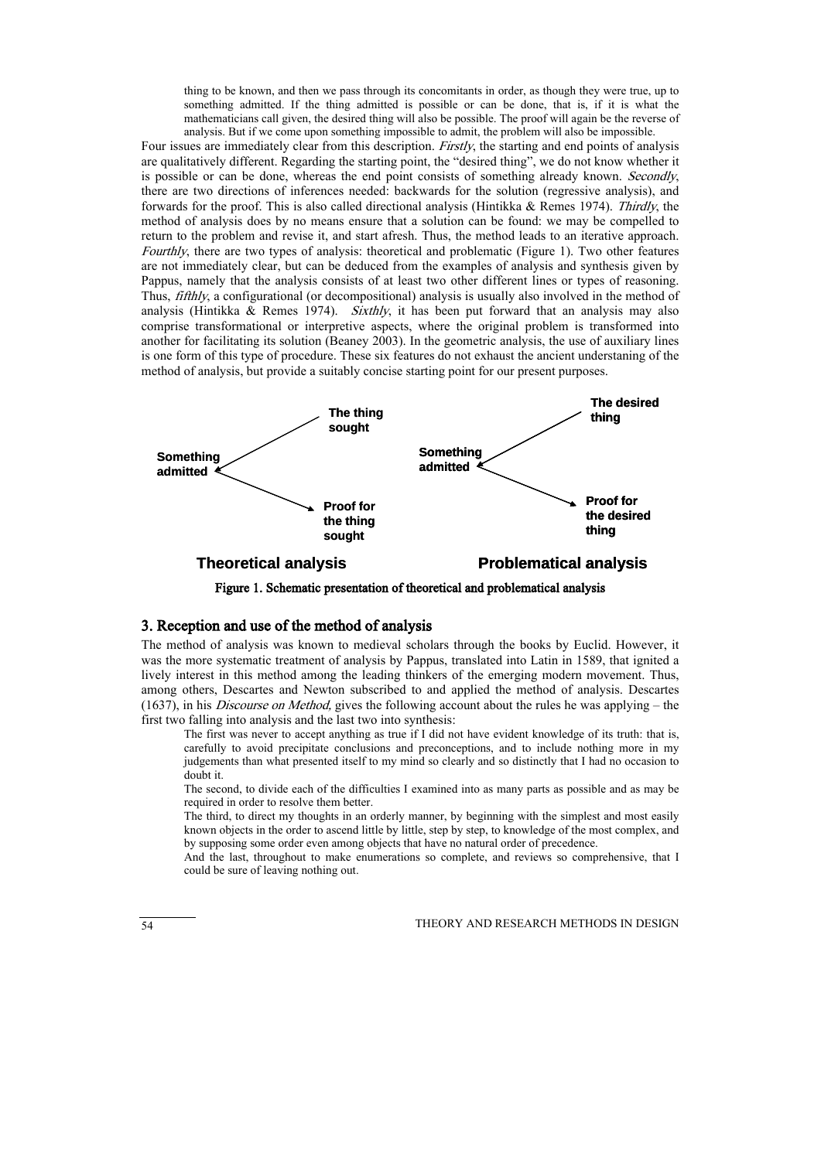thing to be known, and then we pass through its concomitants in order, as though they were true, up to something admitted. If the thing admitted is possible or can be done, that is, if it is what the mathematicians call given, the desired thing will also be possible. The proof will again be the reverse of analysis. But if we come upon something impossible to admit, the problem will also be impossible.

Four issues are immediately clear from this description. *Firstly*, the starting and end points of analysis are qualitatively different. Regarding the starting point, the "desired thing", we do not know whether it is possible or can be done, whereas the end point consists of something already known. Secondly, there are two directions of inferences needed: backwards for the solution (regressive analysis), and forwards for the proof. This is also called directional analysis (Hintikka & Remes 1974). Thirdly, the method of analysis does by no means ensure that a solution can be found: we may be compelled to return to the problem and revise it, and start afresh. Thus, the method leads to an iterative approach. Fourthly, there are two types of analysis: theoretical and problematic (Figure 1). Two other features are not immediately clear, but can be deduced from the examples of analysis and synthesis given by Pappus, namely that the analysis consists of at least two other different lines or types of reasoning. Thus, fifthly, a configurational (or decompositional) analysis is usually also involved in the method of analysis (Hintikka & Remes 1974). Sixthly, it has been put forward that an analysis may also comprise transformational or interpretive aspects, where the original problem is transformed into another for facilitating its solution (Beaney 2003). In the geometric analysis, the use of auxiliary lines is one form of this type of procedure. These six features do not exhaust the ancient understaning of the method of analysis, but provide a suitably concise starting point for our present purposes.



Figure 1. Schematic presentation of theoretical and problematical analysis

# 3. Reception and use of the method of analysis

The method of analysis was known to medieval scholars through the books by Euclid. However, it was the more systematic treatment of analysis by Pappus, translated into Latin in 1589, that ignited a lively interest in this method among the leading thinkers of the emerging modern movement. Thus, among others, Descartes and Newton subscribed to and applied the method of analysis. Descartes  $(1637)$ , in his *Discourse on Method*, gives the following account about the rules he was applying – the first two falling into analysis and the last two into synthesis:

The first was never to accept anything as true if I did not have evident knowledge of its truth: that is, carefully to avoid precipitate conclusions and preconceptions, and to include nothing more in my judgements than what presented itself to my mind so clearly and so distinctly that I had no occasion to doubt it.

The second, to divide each of the difficulties I examined into as many parts as possible and as may be required in order to resolve them better.

The third, to direct my thoughts in an orderly manner, by beginning with the simplest and most easily known objects in the order to ascend little by little, step by step, to knowledge of the most complex, and by supposing some order even among objects that have no natural order of precedence.

And the last, throughout to make enumerations so complete, and reviews so comprehensive, that I could be sure of leaving nothing out.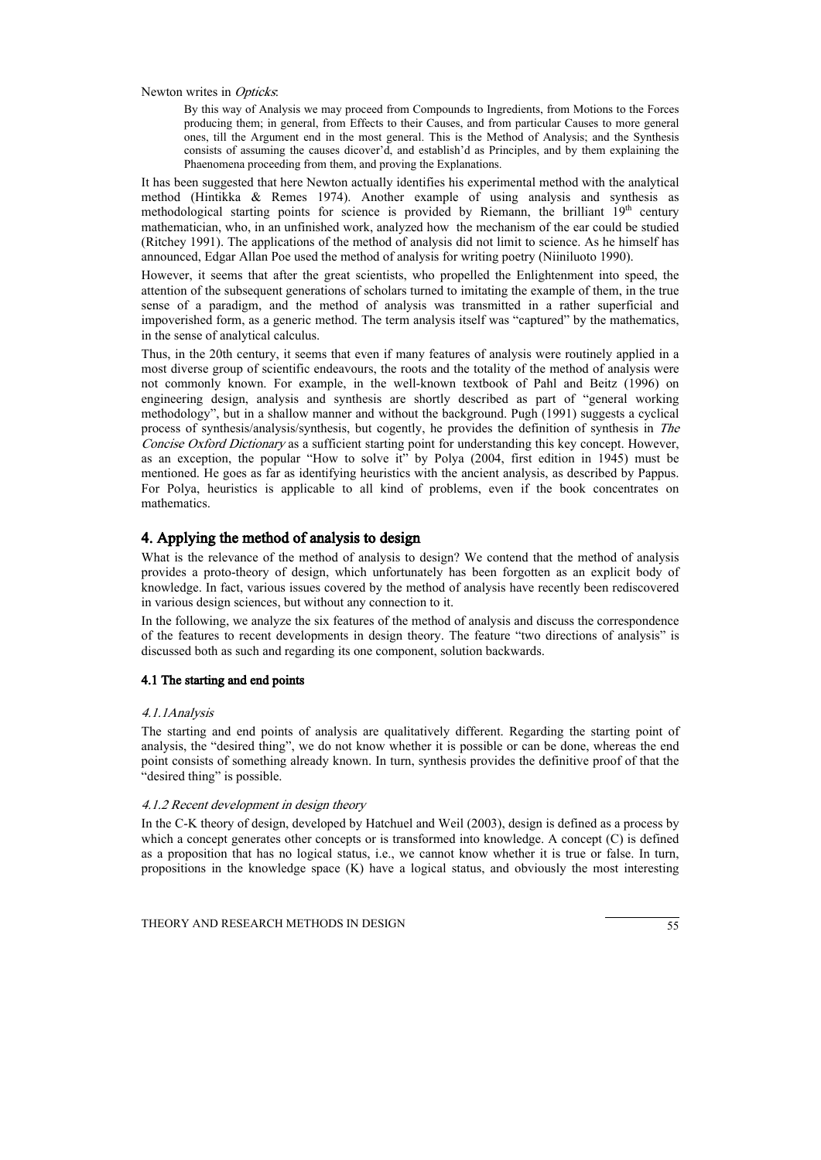Newton writes in *Opticks*.

By this way of Analysis we may proceed from Compounds to Ingredients, from Motions to the Forces producing them; in general, from Effects to their Causes, and from particular Causes to more general ones, till the Argument end in the most general. This is the Method of Analysis; and the Synthesis consists of assuming the causes dicover'd, and establish'd as Principles, and by them explaining the Phaenomena proceeding from them, and proving the Explanations.

It has been suggested that here Newton actually identifies his experimental method with the analytical method (Hintikka & Remes 1974). Another example of using analysis and synthesis as methodological starting points for science is provided by Riemann, the brilliant  $19<sup>th</sup>$  century mathematician, who, in an unfinished work, analyzed how the mechanism of the ear could be studied (Ritchey 1991). The applications of the method of analysis did not limit to science. As he himself has announced, Edgar Allan Poe used the method of analysis for writing poetry (Niiniluoto 1990).

However, it seems that after the great scientists, who propelled the Enlightenment into speed, the attention of the subsequent generations of scholars turned to imitating the example of them, in the true sense of a paradigm, and the method of analysis was transmitted in a rather superficial and impoverished form, as a generic method. The term analysis itself was "captured" by the mathematics, in the sense of analytical calculus.

Thus, in the 20th century, it seems that even if many features of analysis were routinely applied in a most diverse group of scientific endeavours, the roots and the totality of the method of analysis were not commonly known. For example, in the well-known textbook of Pahl and Beitz (1996) on engineering design, analysis and synthesis are shortly described as part of "general working methodology", but in a shallow manner and without the background. Pugh (1991) suggests a cyclical process of synthesis/analysis/synthesis, but cogently, he provides the definition of synthesis in The Concise Oxford Dictionary as a sufficient starting point for understanding this key concept. However, as an exception, the popular "How to solve it" by Polya (2004, first edition in 1945) must be mentioned. He goes as far as identifying heuristics with the ancient analysis, as described by Pappus. For Polya, heuristics is applicable to all kind of problems, even if the book concentrates on mathematics.

# 4. Applying the method of analysis to design

What is the relevance of the method of analysis to design? We contend that the method of analysis provides a proto-theory of design, which unfortunately has been forgotten as an explicit body of knowledge. In fact, various issues covered by the method of analysis have recently been rediscovered in various design sciences, but without any connection to it.

In the following, we analyze the six features of the method of analysis and discuss the correspondence of the features to recent developments in design theory. The feature "two directions of analysis" is discussed both as such and regarding its one component, solution backwards.

#### 4.1 The starting and end points

#### 4.1.1Analysis

The starting and end points of analysis are qualitatively different. Regarding the starting point of analysis, the "desired thing", we do not know whether it is possible or can be done, whereas the end point consists of something already known. In turn, synthesis provides the definitive proof of that the "desired thing" is possible.

### 4.1.2 Recent development in design theory

In the C-K theory of design, developed by Hatchuel and Weil (2003), design is defined as a process by which a concept generates other concepts or is transformed into knowledge. A concept (C) is defined as a proposition that has no logical status, i.e., we cannot know whether it is true or false. In turn, propositions in the knowledge space (K) have a logical status, and obviously the most interesting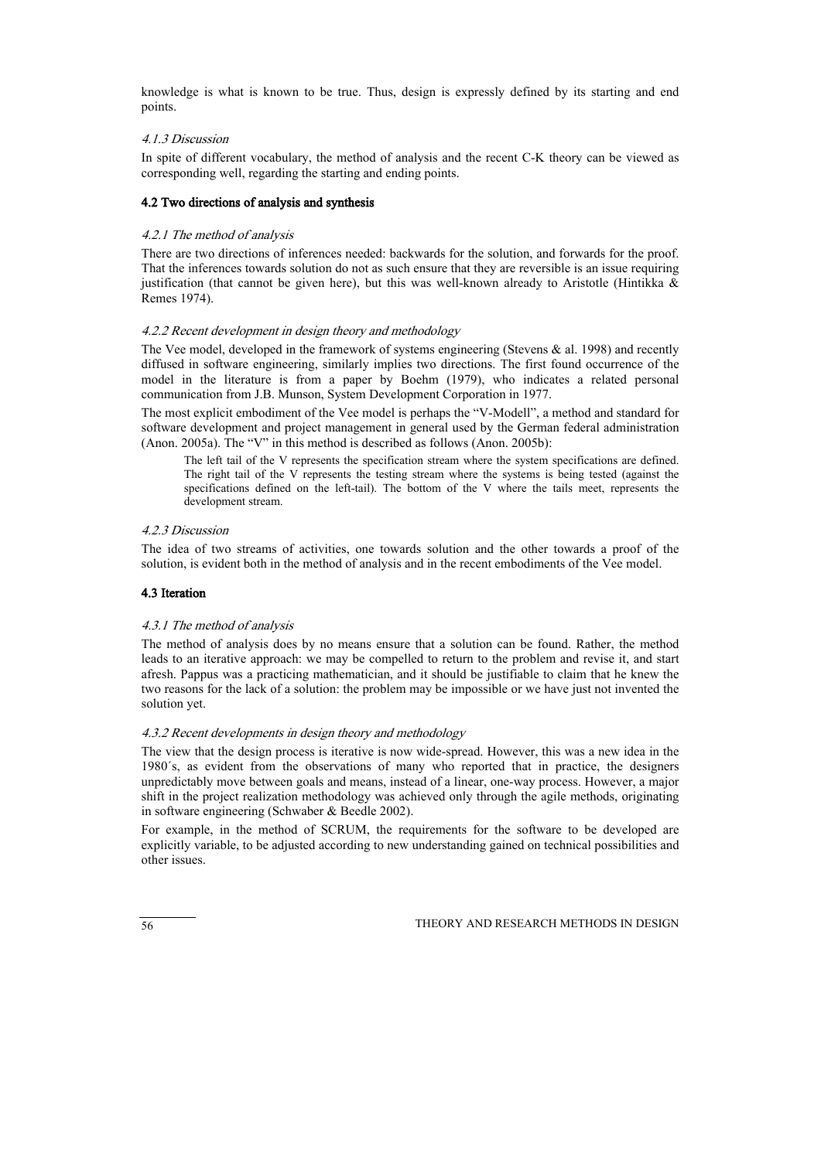knowledge is what is known to be true. Thus, design is expressly defined by its starting and end points.

# 4.1.3 Discussion

In spite of different vocabulary, the method of analysis and the recent C-K theory can be viewed as corresponding well, regarding the starting and ending points.

# 4.2 Two directions of analysis and synthesis

# 4.2.1 The method of analysis

There are two directions of inferences needed: backwards for the solution, and forwards for the proof. That the inferences towards solution do not as such ensure that they are reversible is an issue requiring justification (that cannot be given here), but this was well-known already to Aristotle (Hintikka  $\&$ Remes 1974).

### 4.2.2 Recent development in design theory and methodology

The Vee model, developed in the framework of systems engineering (Stevens  $\&$  al. 1998) and recently diffused in software engineering, similarly implies two directions. The first found occurrence of the model in the literature is from a paper by Boehm (1979), who indicates a related personal communication from J.B. Munson, System Development Corporation in 1977.

The most explicit embodiment of the Vee model is perhaps the "V-Modell", a method and standard for software development and project management in general used by the German federal administration (Anon. 2005a). The "V" in this method is described as follows (Anon. 2005b):

The left tail of the V represents the specification stream where the system specifications are defined. The right tail of the V represents the testing stream where the systems is being tested (against the specifications defined on the left-tail). The bottom of the V where the tails meet, represents the development stream.

### 4.2.3 Discussion

The idea of two streams of activities, one towards solution and the other towards a proof of the solution, is evident both in the method of analysis and in the recent embodiments of the Vee model.

# 4.3 Iteration

### 4.3.1 The method of analysis

The method of analysis does by no means ensure that a solution can be found. Rather, the method leads to an iterative approach: we may be compelled to return to the problem and revise it, and start afresh. Pappus was a practicing mathematician, and it should be justifiable to claim that he knew the two reasons for the lack of a solution: the problem may be impossible or we have just not invented the solution yet.

### 4.3.2 Recent developments in design theory and methodology

The view that the design process is iterative is now wide-spread. However, this was a new idea in the 1980´s, as evident from the observations of many who reported that in practice, the designers unpredictably move between goals and means, instead of a linear, one-way process. However, a major shift in the project realization methodology was achieved only through the agile methods, originating in software engineering (Schwaber & Beedle 2002).

For example, in the method of SCRUM, the requirements for the software to be developed are explicitly variable, to be adjusted according to new understanding gained on technical possibilities and other issues.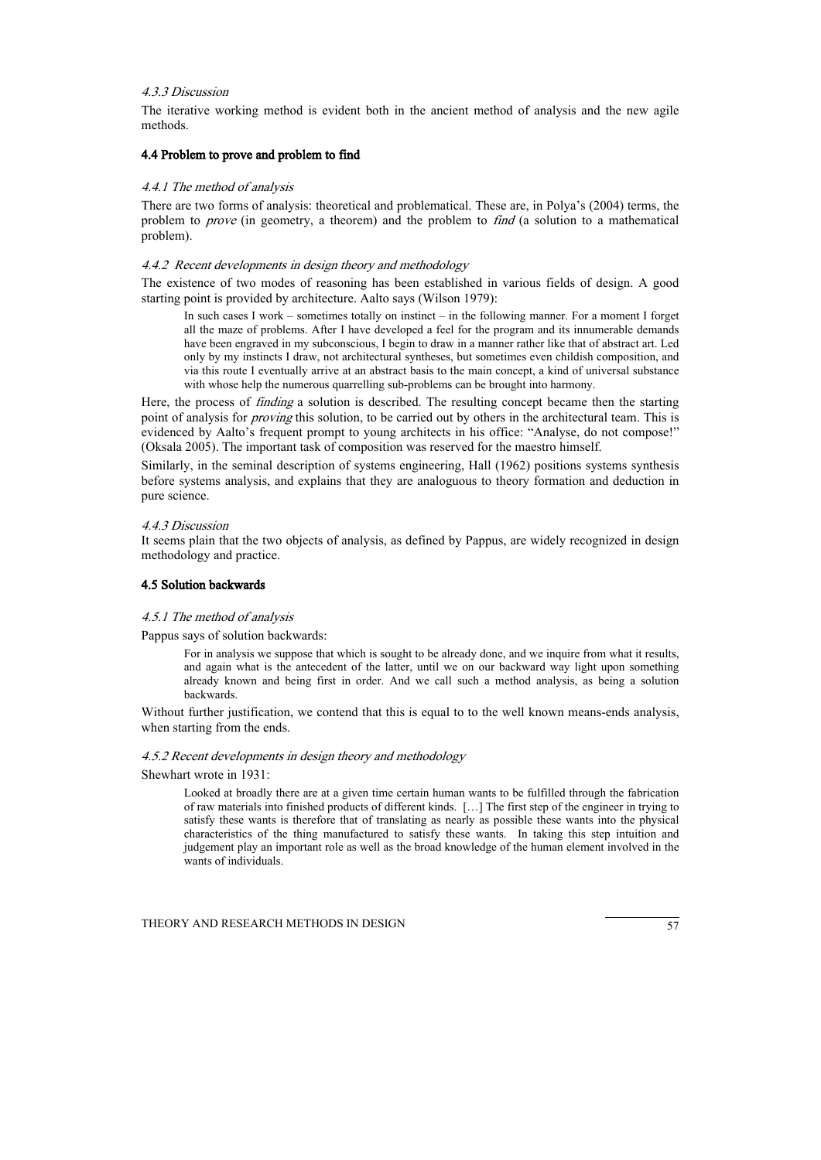#### 4.3.3 Discussion

The iterative working method is evident both in the ancient method of analysis and the new agile methods.

#### 4.4 Problem to prove and problem to find

#### 4.4.1 The method of analysis

There are two forms of analysis: theoretical and problematical. These are, in Polya's (2004) terms, the problem to *prove* (in geometry, a theorem) and the problem to *find* (a solution to a mathematical problem).

### 4.4.2 Recent developments in design theory and methodology

The existence of two modes of reasoning has been established in various fields of design. A good starting point is provided by architecture. Aalto says (Wilson 1979):

In such cases I work – sometimes totally on instinct – in the following manner. For a moment I forget all the maze of problems. After I have developed a feel for the program and its innumerable demands have been engraved in my subconscious, I begin to draw in a manner rather like that of abstract art. Led only by my instincts I draw, not architectural syntheses, but sometimes even childish composition, and via this route I eventually arrive at an abstract basis to the main concept, a kind of universal substance with whose help the numerous quarrelling sub-problems can be brought into harmony.

Here, the process of *finding* a solution is described. The resulting concept became then the starting point of analysis for *proving* this solution, to be carried out by others in the architectural team. This is evidenced by Aalto's frequent prompt to young architects in his office: "Analyse, do not compose!" (Oksala 2005). The important task of composition was reserved for the maestro himself.

Similarly, in the seminal description of systems engineering, Hall (1962) positions systems synthesis before systems analysis, and explains that they are analoguous to theory formation and deduction in pure science.

#### 4.4.3 Discussion

It seems plain that the two objects of analysis, as defined by Pappus, are widely recognized in design methodology and practice.

# 4.5 Solution backwards

#### 4.5.1 The method of analysis

Pappus says of solution backwards:

For in analysis we suppose that which is sought to be already done, and we inquire from what it results, and again what is the antecedent of the latter, until we on our backward way light upon something already known and being first in order. And we call such a method analysis, as being a solution backwards.

Without further justification, we contend that this is equal to to the well known means-ends analysis, when starting from the ends.

#### 4.5.2 Recent developments in design theory and methodology

Shewhart wrote in 1931:

Looked at broadly there are at a given time certain human wants to be fulfilled through the fabrication of raw materials into finished products of different kinds. […] The first step of the engineer in trying to satisfy these wants is therefore that of translating as nearly as possible these wants into the physical characteristics of the thing manufactured to satisfy these wants. In taking this step intuition and judgement play an important role as well as the broad knowledge of the human element involved in the wants of individuals.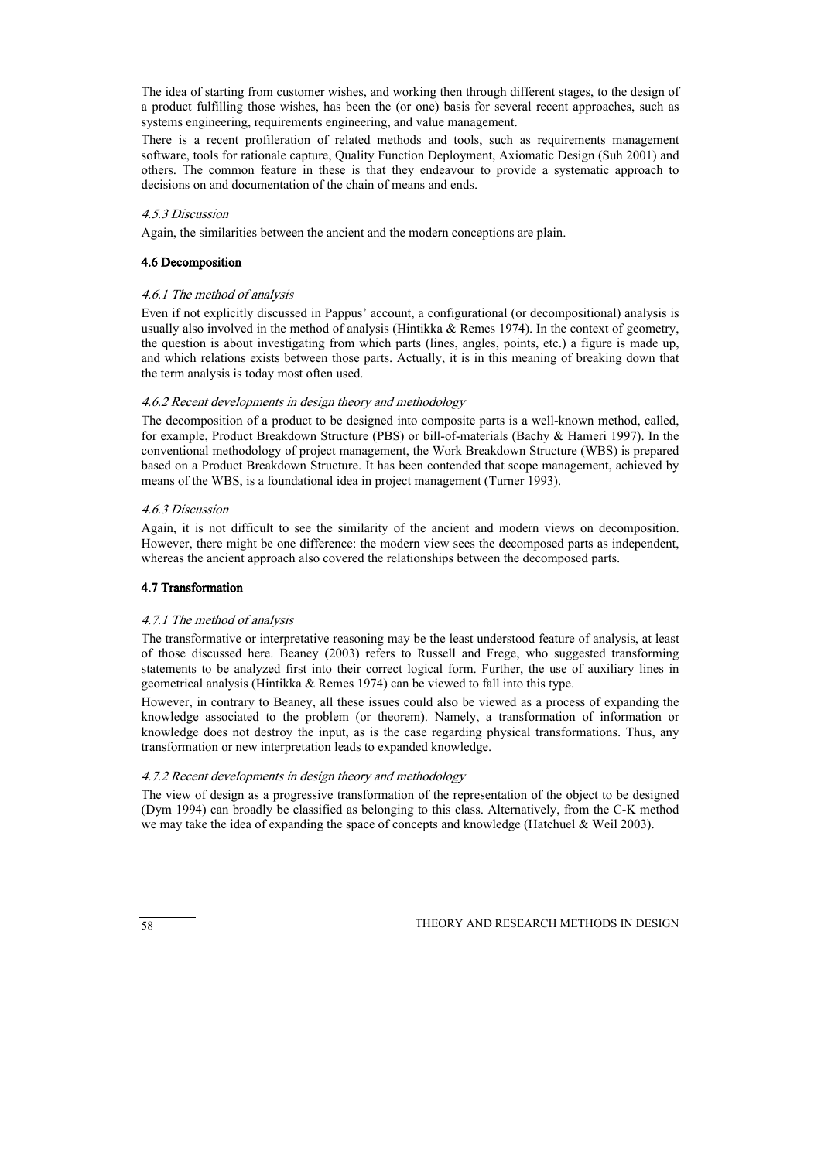The idea of starting from customer wishes, and working then through different stages, to the design of a product fulfilling those wishes, has been the (or one) basis for several recent approaches, such as systems engineering, requirements engineering, and value management.

There is a recent profileration of related methods and tools, such as requirements management software, tools for rationale capture, Quality Function Deployment, Axiomatic Design (Suh 2001) and others. The common feature in these is that they endeavour to provide a systematic approach to decisions on and documentation of the chain of means and ends.

# 4.5.3 Discussion

Again, the similarities between the ancient and the modern conceptions are plain.

# 4.6 Decomposition

# 4.6.1 The method of analysis

Even if not explicitly discussed in Pappus' account, a configurational (or decompositional) analysis is usually also involved in the method of analysis (Hintikka  $\&$  Remes 1974). In the context of geometry, the question is about investigating from which parts (lines, angles, points, etc.) a figure is made up, and which relations exists between those parts. Actually, it is in this meaning of breaking down that the term analysis is today most often used.

# 4.6.2 Recent developments in design theory and methodology

The decomposition of a product to be designed into composite parts is a well-known method, called, for example, Product Breakdown Structure (PBS) or bill-of-materials (Bachy & Hameri 1997). In the conventional methodology of project management, the Work Breakdown Structure (WBS) is prepared based on a Product Breakdown Structure. It has been contended that scope management, achieved by means of the WBS, is a foundational idea in project management (Turner 1993).

# 4.6.3 Discussion

Again, it is not difficult to see the similarity of the ancient and modern views on decomposition. However, there might be one difference: the modern view sees the decomposed parts as independent, whereas the ancient approach also covered the relationships between the decomposed parts.

### 4.7 Transformation

### 4.7.1 The method of analysis

The transformative or interpretative reasoning may be the least understood feature of analysis, at least of those discussed here. Beaney (2003) refers to Russell and Frege, who suggested transforming statements to be analyzed first into their correct logical form. Further, the use of auxiliary lines in geometrical analysis (Hintikka & Remes 1974) can be viewed to fall into this type.

However, in contrary to Beaney, all these issues could also be viewed as a process of expanding the knowledge associated to the problem (or theorem). Namely, a transformation of information or knowledge does not destroy the input, as is the case regarding physical transformations. Thus, any transformation or new interpretation leads to expanded knowledge.

### 4.7.2 Recent developments in design theory and methodology

The view of design as a progressive transformation of the representation of the object to be designed (Dym 1994) can broadly be classified as belonging to this class. Alternatively, from the C-K method we may take the idea of expanding the space of concepts and knowledge (Hatchuel & Weil 2003).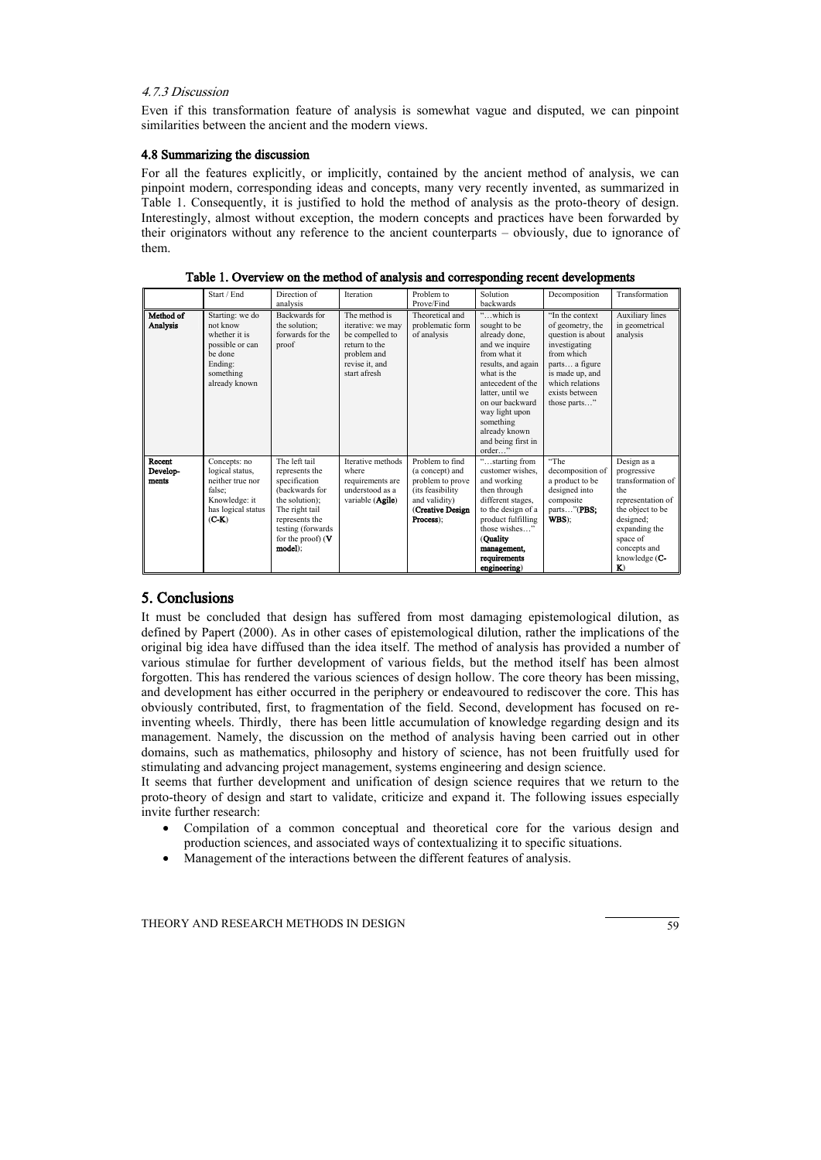## 4.7.3 Discussion

Even if this transformation feature of analysis is somewhat vague and disputed, we can pinpoint similarities between the ancient and the modern views.

# 4.8 Summarizing the discussion

For all the features explicitly, or implicitly, contained by the ancient method of analysis, we can pinpoint modern, corresponding ideas and concepts, many very recently invented, as summarized in Table 1. Consequently, it is justified to hold the method of analysis as the proto-theory of design. Interestingly, almost without exception, the modern concepts and practices have been forwarded by their originators without any reference to the ancient counterparts – obviously, due to ignorance of them.

|                             | Start / End                                                                                                         | Direction of<br>analysis                                                                                                                                                         | Iteration                                                                                                               | Problem to<br>Prove/Find                                                                                                     | Solution<br>backwards                                                                                                                                                                                                                                         | Decomposition                                                                                                                                                                     | Transformation                                                                                                                                                                      |
|-----------------------------|---------------------------------------------------------------------------------------------------------------------|----------------------------------------------------------------------------------------------------------------------------------------------------------------------------------|-------------------------------------------------------------------------------------------------------------------------|------------------------------------------------------------------------------------------------------------------------------|---------------------------------------------------------------------------------------------------------------------------------------------------------------------------------------------------------------------------------------------------------------|-----------------------------------------------------------------------------------------------------------------------------------------------------------------------------------|-------------------------------------------------------------------------------------------------------------------------------------------------------------------------------------|
| Method of<br>Analysis       | Starting: we do<br>not know<br>whether it is<br>possible or can<br>be done<br>Ending:<br>something<br>already known | Backwards for<br>the solution;<br>forwards for the<br>proof                                                                                                                      | The method is<br>iterative: we may<br>be compelled to<br>return to the<br>problem and<br>revise it, and<br>start afresh | Theoretical and<br>problematic form<br>of analysis                                                                           | "which is<br>sought to be<br>already done,<br>and we inquire<br>from what it<br>results, and again<br>what is the<br>antecedent of the<br>latter, until we<br>on our backward<br>way light upon<br>something<br>already known<br>and being first in<br>order" | "In the context<br>of geometry, the<br>question is about<br>investigating<br>from which<br>parts a figure<br>is made up, and<br>which relations<br>exists between<br>those parts" | <b>Auxiliary</b> lines<br>in geometrical<br>analysis                                                                                                                                |
| Recent<br>Develop-<br>ments | Concepts: no<br>logical status,<br>neither true nor<br>false;<br>Knowledge: it<br>has logical status<br>$(C-K)$     | The left tail<br>represents the<br>specification<br>(backwards for<br>the solution);<br>The right tail<br>represents the<br>testing (forwards)<br>for the proof) $(V$<br>model); | Iterative methods<br>where<br>requirements are<br>understood as a<br>variable ( <b>Agile</b> )                          | Problem to find<br>(a concept) and<br>problem to prove<br>(its feasibility<br>and validity)<br>(Creative Design<br>Process): | "starting from<br>customer wishes.<br>and working<br>then through<br>different stages,<br>to the design of a<br>product fulfilling<br>those wishes "<br>(Quality)<br>management,<br>requirements<br>engineering)                                              | "The<br>decomposition of<br>a product to be<br>designed into<br>composite<br>parts"(PBS;<br>WBS):                                                                                 | Design as a<br>progressive<br>transformation of<br>the<br>representation of<br>the object to be<br>designed;<br>expanding the<br>space of<br>concepts and<br>knowledge $(C -$<br>K) |

Table 1. Overview on the method of analysis and corresponding recent developments

# 5. Conclusions

It must be concluded that design has suffered from most damaging epistemological dilution, as defined by Papert (2000). As in other cases of epistemological dilution, rather the implications of the original big idea have diffused than the idea itself. The method of analysis has provided a number of various stimulae for further development of various fields, but the method itself has been almost forgotten. This has rendered the various sciences of design hollow. The core theory has been missing, and development has either occurred in the periphery or endeavoured to rediscover the core. This has obviously contributed, first, to fragmentation of the field. Second, development has focused on reinventing wheels. Thirdly, there has been little accumulation of knowledge regarding design and its management. Namely, the discussion on the method of analysis having been carried out in other domains, such as mathematics, philosophy and history of science, has not been fruitfully used for stimulating and advancing project management, systems engineering and design science.

It seems that further development and unification of design science requires that we return to the proto-theory of design and start to validate, criticize and expand it. The following issues especially invite further research:

- Compilation of a common conceptual and theoretical core for the various design and production sciences, and associated ways of contextualizing it to specific situations.
- Management of the interactions between the different features of analysis.